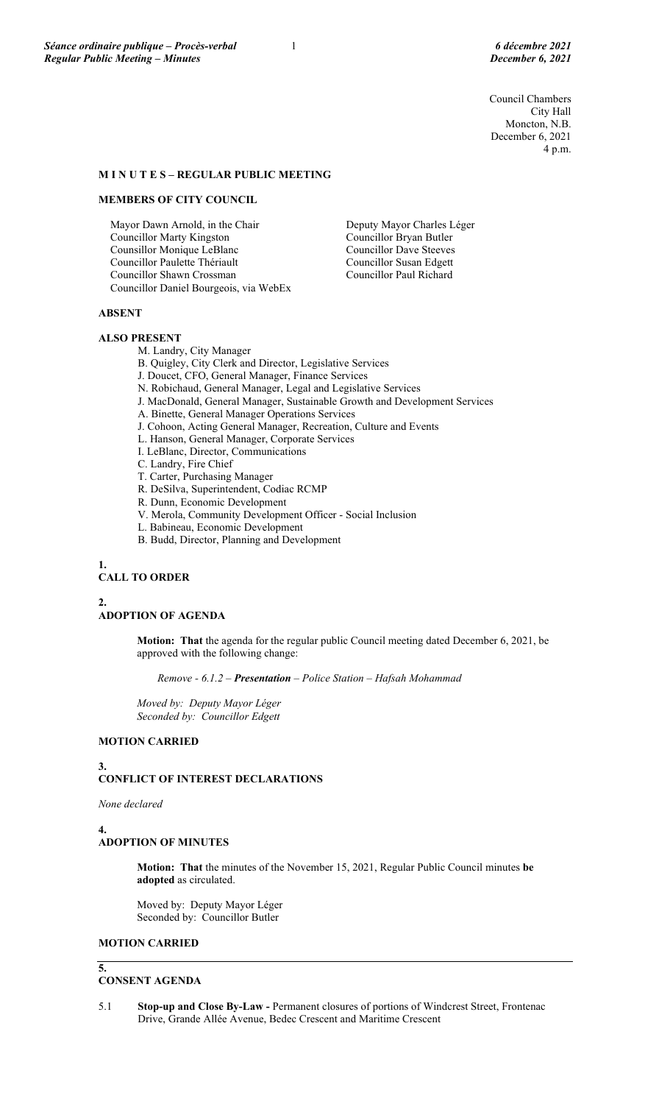Council Chambers City Hall Moncton, N.B. December 6, 2021 4 p.m.

## **M I N U T E S – REGULAR PUBLIC MEETING**

### **MEMBERS OF CITY COUNCIL**

Mayor Dawn Arnold, in the Chair Councillor Marty Kingston Counsillor Monique LeBlanc Councillor Paulette Thériault Councillor Shawn Crossman Councillor Daniel Bourgeois, via WebEx Deputy Mayor Charles Léger Councillor Bryan Butler Councillor Dave Steeves Councillor Susan Edgett Councillor Paul Richard

### **ABSENT**

#### **ALSO PRESENT**

M. Landry, City Manager

B. Quigley, City Clerk and Director, Legislative Services

- J. Doucet, CFO, General Manager, Finance Services
- N. Robichaud, General Manager, Legal and Legislative Services
- J. MacDonald, General Manager, Sustainable Growth and Development Services
- A. Binette, General Manager Operations Services
- J. Cohoon, Acting General Manager, Recreation, Culture and Events
- L. Hanson, General Manager, Corporate Services
- I. LeBlanc, Director, Communications
- C. Landry, Fire Chief
- T. Carter, Purchasing Manager
- R. DeSilva, Superintendent, Codiac RCMP
- R. Dunn, Economic Development
- V. Merola, Community Development Officer Social Inclusion
- L. Babineau, Economic Development
- B. Budd, Director, Planning and Development

**1.**

## **CALL TO ORDER**

**2.**

## **ADOPTION OF AGENDA**

**Motion: That** the agenda for the regular public Council meeting dated December 6, 2021, be approved with the following change:

*Remove - 6.1.2 – Presentation – Police Station – Hafsah Mohammad*

*Moved by: Deputy Mayor Léger Seconded by: Councillor Edgett*

# **MOTION CARRIED**

#### **3. CONFLICT OF INTEREST DECLARATIONS**

*None declared*

#### **4.**

**5.**

### **ADOPTION OF MINUTES**

**Motion: That** the minutes of the November 15, 2021, Regular Public Council minutes **be adopted** as circulated.

Moved by: Deputy Mayor Léger Seconded by: Councillor Butler

### **MOTION CARRIED**

## **CONSENT AGENDA**

5.1 **Stop-up and Close By-Law -** Permanent closures of portions of Windcrest Street, Frontenac Drive, Grande Allée Avenue, Bedec Crescent and Maritime Crescent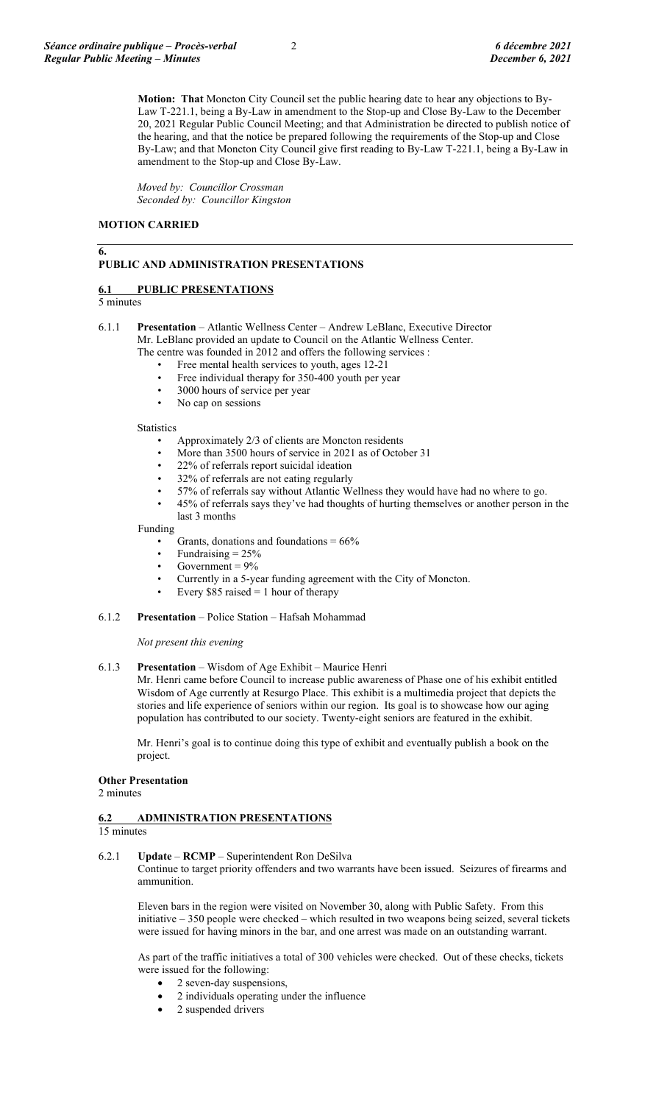**Motion: That** Moncton City Council set the public hearing date to hear any objections to By-Law T-221.1, being a By-Law in amendment to the Stop-up and Close By-Law to the December 20, 2021 Regular Public Council Meeting; and that Administration be directed to publish notice of the hearing, and that the notice be prepared following the requirements of the Stop-up and Close By-Law; and that Moncton City Council give first reading to By-Law T-221.1, being a By-Law in amendment to the Stop-up and Close By-Law.

*Moved by: Councillor Crossman Seconded by: Councillor Kingston*

### **MOTION CARRIED**

### **PUBLIC AND ADMINISTRATION PRESENTATIONS**

### **6.1 PUBLIC PRESENTATIONS**

## 5 minutes

**6.**

- 6.1.1 **Presentation** Atlantic Wellness Center Andrew LeBlanc, Executive Director Mr. LeBlanc provided an update to Council on the Atlantic Wellness Center. The centre was founded in 2012 and offers the following services :
	- Free mental health services to youth, ages 12-21
		- Free individual therapy for 350-400 youth per year
	- 3000 hours of service per year
	- No cap on sessions

#### **Statistics**

- Approximately 2/3 of clients are Moncton residents
- More than 3500 hours of service in 2021 as of October 31
- 22% of referrals report suicidal ideation
- 32% of referrals are not eating regularly
- 57% of referrals say without Atlantic Wellness they would have had no where to go.
- 45% of referrals says they've had thoughts of hurting themselves or another person in the last 3 months

#### Funding

- Grants, donations and foundations  $= 66\%$
- Fundraising = 25%
- Government  $= 9\%$
- Currently in a 5-year funding agreement with the City of Moncton.
- Every \$85 raised = 1 hour of therapy

#### 6.1.2 **Presentation** – Police Station – Hafsah Mohammad

*Not present this evening*

### 6.1.3 **Presentation** – Wisdom of Age Exhibit – Maurice Henri

Mr. Henri came before Council to increase public awareness of Phase one of his exhibit entitled Wisdom of Age currently at Resurgo Place. This exhibit is a multimedia project that depicts the stories and life experience of seniors within our region. Its goal is to showcase how our aging population has contributed to our society. Twenty-eight seniors are featured in the exhibit.

Mr. Henri's goal is to continue doing this type of exhibit and eventually publish a book on the project.

#### **Other Presentation**

2 minutes

#### **6.2 ADMINISTRATION PRESENTATIONS**  15 minutes

### 6.2.1 **Update** – **RCMP** – Superintendent Ron DeSilva

Continue to target priority offenders and two warrants have been issued. Seizures of firearms and ammunition.

Eleven bars in the region were visited on November 30, along with Public Safety. From this initiative – 350 people were checked – which resulted in two weapons being seized, several tickets were issued for having minors in the bar, and one arrest was made on an outstanding warrant.

As part of the traffic initiatives a total of 300 vehicles were checked. Out of these checks, tickets were issued for the following:

- 2 seven-day suspensions,
- 2 individuals operating under the influence
- 2 suspended drivers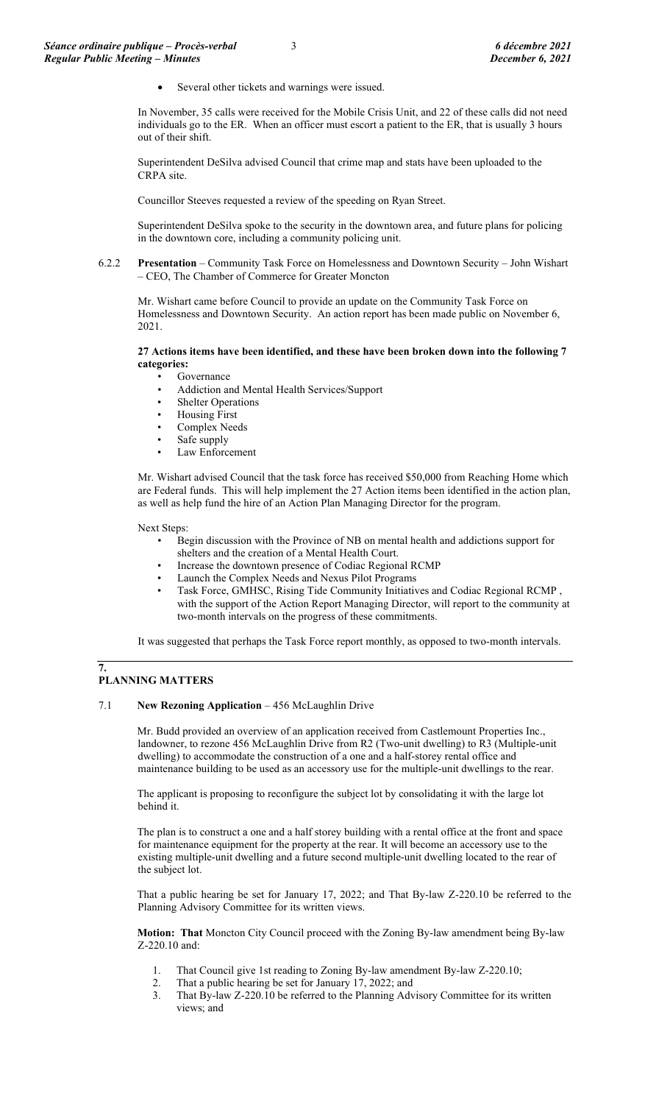Several other tickets and warnings were issued.

In November, 35 calls were received for the Mobile Crisis Unit, and 22 of these calls did not need individuals go to the ER. When an officer must escort a patient to the ER, that is usually 3 hours out of their shift.

Superintendent DeSilva advised Council that crime map and stats have been uploaded to the CRPA site.

Councillor Steeves requested a review of the speeding on Ryan Street.

Superintendent DeSilva spoke to the security in the downtown area, and future plans for policing in the downtown core, including a community policing unit.

#### 6.2.2 **Presentation** – Community Task Force on Homelessness and Downtown Security – John Wishart – CEO, The Chamber of Commerce for Greater Moncton

Mr. Wishart came before Council to provide an update on the Community Task Force on Homelessness and Downtown Security. An action report has been made public on November 6, 2021.

#### **27 Actions items have been identified, and these have been broken down into the following 7 categories:**

- **Governance**
- Addiction and Mental Health Services/Support
- **Shelter Operations**
- Housing First
- Complex Needs
- Safe supply Law Enforcement

Mr. Wishart advised Council that the task force has received \$50,000 from Reaching Home which are Federal funds. This will help implement the 27 Action items been identified in the action plan, as well as help fund the hire of an Action Plan Managing Director for the program.

Next Steps:

- Begin discussion with the Province of NB on mental health and addictions support for
- shelters and the creation of a Mental Health Court.
- Increase the downtown presence of Codiac Regional RCMP
- Launch the Complex Needs and Nexus Pilot Programs
- Task Force, GMHSC, Rising Tide Community Initiatives and Codiac Regional RCMP , with the support of the Action Report Managing Director, will report to the community at two-month intervals on the progress of these commitments.

It was suggested that perhaps the Task Force report monthly, as opposed to two-month intervals.

# **PLANNING MATTERS**

**7.**

### 7.1 **New Rezoning Application** – 456 McLaughlin Drive

Mr. Budd provided an overview of an application received from Castlemount Properties Inc., landowner, to rezone 456 McLaughlin Drive from R2 (Two-unit dwelling) to R3 (Multiple-unit dwelling) to accommodate the construction of a one and a half-storey rental office and maintenance building to be used as an accessory use for the multiple-unit dwellings to the rear.

The applicant is proposing to reconfigure the subject lot by consolidating it with the large lot behind it.

The plan is to construct a one and a half storey building with a rental office at the front and space for maintenance equipment for the property at the rear. It will become an accessory use to the existing multiple-unit dwelling and a future second multiple-unit dwelling located to the rear of the subject lot.

That a public hearing be set for January 17, 2022; and That By-law Z-220.10 be referred to the Planning Advisory Committee for its written views.

**Motion: That** Moncton City Council proceed with the Zoning By-law amendment being By-law Z-220.10 and:

- 1. That Council give 1st reading to Zoning By-law amendment By-law Z-220.10;
- 2. That a public hearing be set for January 17, 2022; and
- 3. That By-law Z-220.10 be referred to the Planning Advisory Committee for its written views; and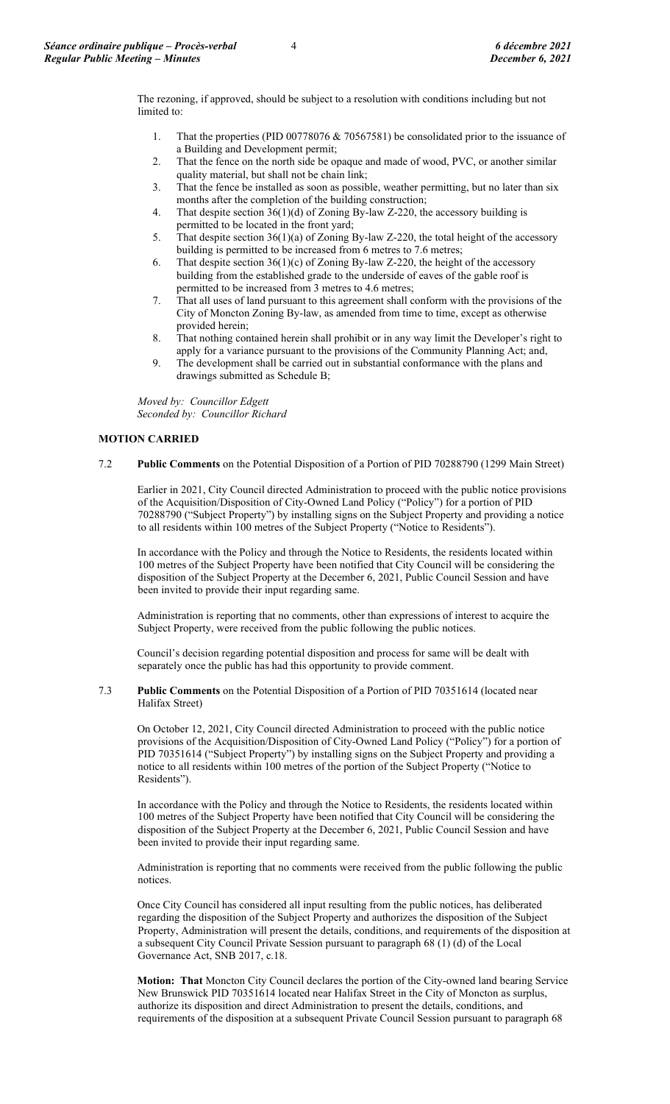The rezoning, if approved, should be subject to a resolution with conditions including but not limited to:

- 1. That the properties (PID 00778076 & 70567581) be consolidated prior to the issuance of a Building and Development permit;
- 2. That the fence on the north side be opaque and made of wood, PVC, or another similar quality material, but shall not be chain link;
- 3. That the fence be installed as soon as possible, weather permitting, but no later than six months after the completion of the building construction;
- 4. That despite section 36(1)(d) of Zoning By-law Z-220, the accessory building is permitted to be located in the front yard;
- 5. That despite section 36(1)(a) of Zoning By-law Z-220, the total height of the accessory building is permitted to be increased from 6 metres to 7.6 metres;
- 6. That despite section  $36(1)(c)$  of Zoning By-law Z-220, the height of the accessory building from the established grade to the underside of eaves of the gable roof is permitted to be increased from 3 metres to 4.6 metres;
- 7. That all uses of land pursuant to this agreement shall conform with the provisions of the City of Moncton Zoning By-law, as amended from time to time, except as otherwise provided herein;
- 8. That nothing contained herein shall prohibit or in any way limit the Developer's right to apply for a variance pursuant to the provisions of the Community Planning Act; and,
- 9. The development shall be carried out in substantial conformance with the plans and drawings submitted as Schedule B;

*Moved by: Councillor Edgett Seconded by: Councillor Richard*

## **MOTION CARRIED**

7.2 **Public Comments** on the Potential Disposition of a Portion of PID 70288790 (1299 Main Street)

Earlier in 2021, City Council directed Administration to proceed with the public notice provisions of the Acquisition/Disposition of City-Owned Land Policy ("Policy") for a portion of PID 70288790 ("Subject Property") by installing signs on the Subject Property and providing a notice to all residents within 100 metres of the Subject Property ("Notice to Residents").

In accordance with the Policy and through the Notice to Residents, the residents located within 100 metres of the Subject Property have been notified that City Council will be considering the disposition of the Subject Property at the December 6, 2021, Public Council Session and have been invited to provide their input regarding same.

Administration is reporting that no comments, other than expressions of interest to acquire the Subject Property, were received from the public following the public notices.

Council's decision regarding potential disposition and process for same will be dealt with separately once the public has had this opportunity to provide comment.

7.3 **Public Comments** on the Potential Disposition of a Portion of PID 70351614 (located near Halifax Street)

On October 12, 2021, City Council directed Administration to proceed with the public notice provisions of the Acquisition/Disposition of City-Owned Land Policy ("Policy") for a portion of PID 70351614 ("Subject Property") by installing signs on the Subject Property and providing a notice to all residents within 100 metres of the portion of the Subject Property ("Notice to Residents").

In accordance with the Policy and through the Notice to Residents, the residents located within 100 metres of the Subject Property have been notified that City Council will be considering the disposition of the Subject Property at the December 6, 2021, Public Council Session and have been invited to provide their input regarding same.

Administration is reporting that no comments were received from the public following the public notices.

Once City Council has considered all input resulting from the public notices, has deliberated regarding the disposition of the Subject Property and authorizes the disposition of the Subject Property, Administration will present the details, conditions, and requirements of the disposition at a subsequent City Council Private Session pursuant to paragraph 68 (1) (d) of the Local Governance Act, SNB 2017, c.18.

**Motion: That** Moncton City Council declares the portion of the City-owned land bearing Service New Brunswick PID 70351614 located near Halifax Street in the City of Moncton as surplus, authorize its disposition and direct Administration to present the details, conditions, and requirements of the disposition at a subsequent Private Council Session pursuant to paragraph 68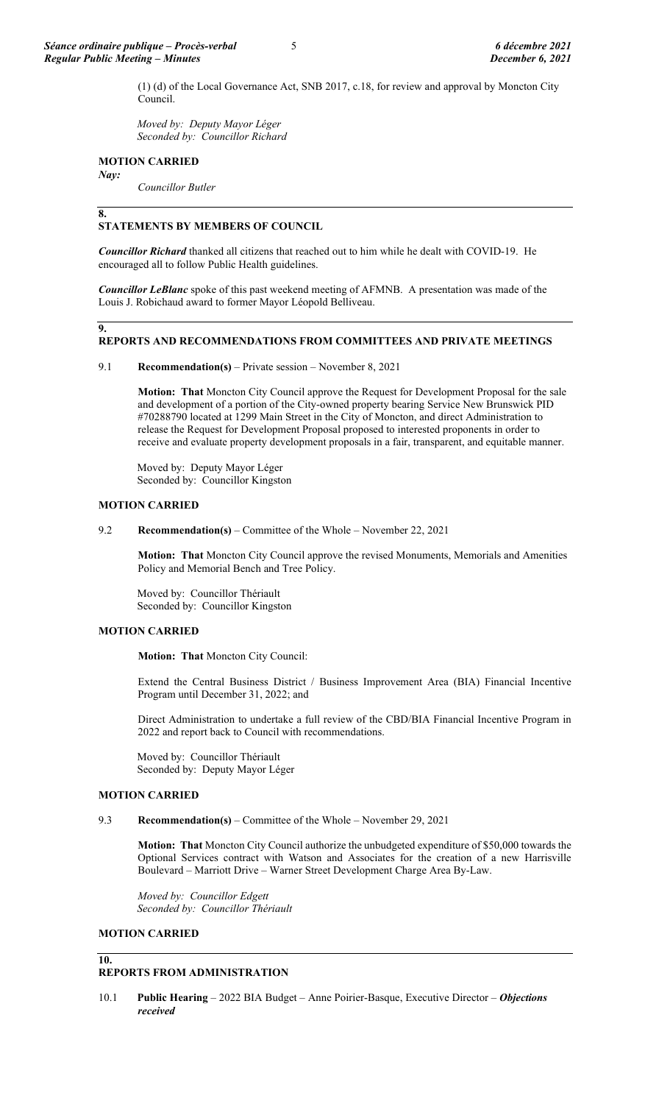(1) (d) of the Local Governance Act, SNB 2017, c.18, for review and approval by Moncton City Council.

*Moved by: Deputy Mayor Léger Seconded by: Councillor Richard*

### **MOTION CARRIED**

*Nay:* 

*Councillor Butler*

### **8.**

## **STATEMENTS BY MEMBERS OF COUNCIL**

*Councillor Richard* thanked all citizens that reached out to him while he dealt with COVID-19. He encouraged all to follow Public Health guidelines.

*Councillor LeBlanc* spoke of this past weekend meeting of AFMNB. A presentation was made of the Louis J. Robichaud award to former Mayor Léopold Belliveau.

#### **9.**

# **REPORTS AND RECOMMENDATIONS FROM COMMITTEES AND PRIVATE MEETINGS**

### 9.1 **Recommendation(s)** – Private session – November 8, 2021

**Motion: That** Moncton City Council approve the Request for Development Proposal for the sale and development of a portion of the City-owned property bearing Service New Brunswick PID #70288790 located at 1299 Main Street in the City of Moncton, and direct Administration to release the Request for Development Proposal proposed to interested proponents in order to receive and evaluate property development proposals in a fair, transparent, and equitable manner.

Moved by: Deputy Mayor Léger Seconded by: Councillor Kingston

### **MOTION CARRIED**

### 9.2 **Recommendation(s)** – Committee of the Whole – November 22, 2021

**Motion: That** Moncton City Council approve the revised Monuments, Memorials and Amenities Policy and Memorial Bench and Tree Policy.

Moved by: Councillor Thériault Seconded by: Councillor Kingston

# **MOTION CARRIED**

**Motion: That** Moncton City Council:

Extend the Central Business District / Business Improvement Area (BIA) Financial Incentive Program until December 31, 2022; and

Direct Administration to undertake a full review of the CBD/BIA Financial Incentive Program in 2022 and report back to Council with recommendations.

Moved by: Councillor Thériault Seconded by: Deputy Mayor Léger

### **MOTION CARRIED**

### 9.3 **Recommendation(s)** – Committee of the Whole – November 29, 2021

**Motion: That** Moncton City Council authorize the unbudgeted expenditure of \$50,000 towards the Optional Services contract with Watson and Associates for the creation of a new Harrisville Boulevard – Marriott Drive – Warner Street Development Charge Area By-Law.

*Moved by: Councillor Edgett Seconded by: Councillor Thériault*

### **MOTION CARRIED**

#### **10. REPORTS FROM ADMINISTRATION**

10.1 **Public Hearing** – 2022 BIA Budget – Anne Poirier-Basque, Executive Director – *Objections received*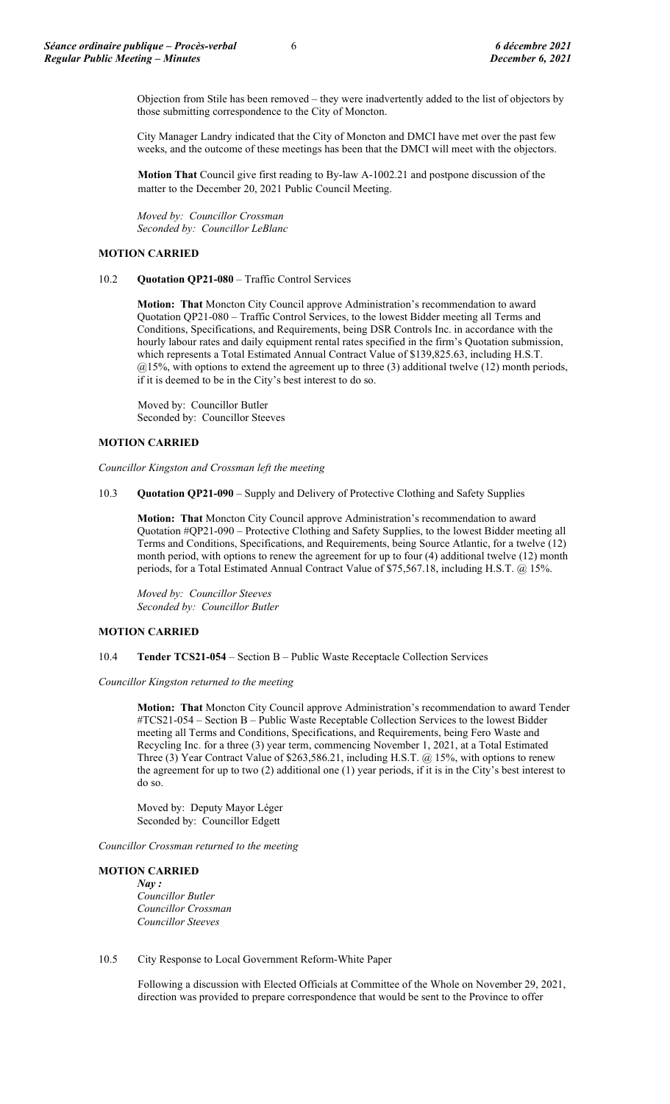Objection from Stile has been removed – they were inadvertently added to the list of objectors by those submitting correspondence to the City of Moncton.

City Manager Landry indicated that the City of Moncton and DMCI have met over the past few weeks, and the outcome of these meetings has been that the DMCI will meet with the objectors.

**Motion That** Council give first reading to By-law A-1002.21 and postpone discussion of the matter to the December 20, 2021 Public Council Meeting.

*Moved by: Councillor Crossman Seconded by: Councillor LeBlanc*

### **MOTION CARRIED**

### 10.2 **Quotation QP21-080** – Traffic Control Services

**Motion: That** Moncton City Council approve Administration's recommendation to award Quotation QP21-080 – Traffic Control Services, to the lowest Bidder meeting all Terms and Conditions, Specifications, and Requirements, being DSR Controls Inc. in accordance with the hourly labour rates and daily equipment rental rates specified in the firm's Quotation submission, which represents a Total Estimated Annual Contract Value of \$139,825.63, including H.S.T. @15%, with options to extend the agreement up to three (3) additional twelve (12) month periods, if it is deemed to be in the City's best interest to do so.

Moved by: Councillor Butler Seconded by: Councillor Steeves

### **MOTION CARRIED**

*Councillor Kingston and Crossman left the meeting*

10.3 **Quotation QP21-090** – Supply and Delivery of Protective Clothing and Safety Supplies

**Motion: That** Moncton City Council approve Administration's recommendation to award Quotation #QP21-090 – Protective Clothing and Safety Supplies, to the lowest Bidder meeting all Terms and Conditions, Specifications, and Requirements, being Source Atlantic, for a twelve (12) month period, with options to renew the agreement for up to four (4) additional twelve (12) month periods, for a Total Estimated Annual Contract Value of \$75,567.18, including H.S.T. @ 15%.

*Moved by: Councillor Steeves Seconded by: Councillor Butler*

### **MOTION CARRIED**

10.4 **Tender TCS21-054** – Section B – Public Waste Receptacle Collection Services

*Councillor Kingston returned to the meeting*

**Motion: That** Moncton City Council approve Administration's recommendation to award Tender #TCS21-054 – Section B – Public Waste Receptable Collection Services to the lowest Bidder meeting all Terms and Conditions, Specifications, and Requirements, being Fero Waste and Recycling Inc. for a three (3) year term, commencing November 1, 2021, at a Total Estimated Three (3) Year Contract Value of \$263,586.21, including H.S.T. @ 15%, with options to renew the agreement for up to two (2) additional one (1) year periods, if it is in the City's best interest to do so.

Moved by: Deputy Mayor Léger Seconded by: Councillor Edgett

*Councillor Crossman returned to the meeting*

### **MOTION CARRIED**

*Nay : Councillor Butler Councillor Crossman Councillor Steeves*

### 10.5 City Response to Local Government Reform-White Paper

Following a discussion with Elected Officials at Committee of the Whole on November 29, 2021, direction was provided to prepare correspondence that would be sent to the Province to offer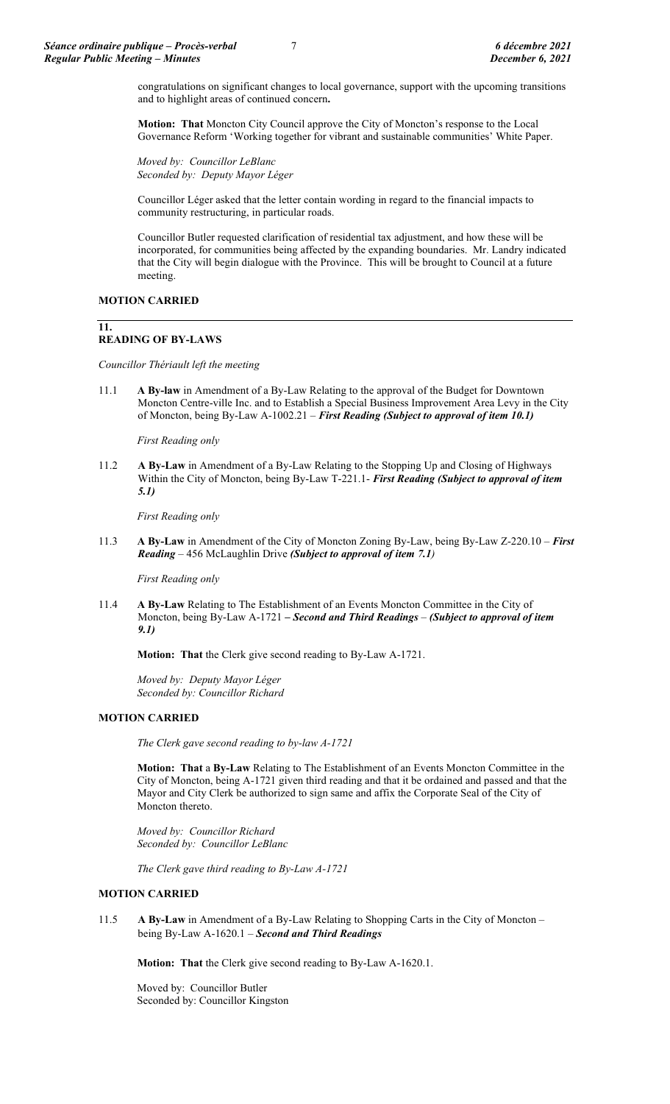congratulations on significant changes to local governance, support with the upcoming transitions and to highlight areas of continued concern**.**

**Motion: That** Moncton City Council approve the City of Moncton's response to the Local Governance Reform 'Working together for vibrant and sustainable communities' White Paper.

*Moved by: Councillor LeBlanc Seconded by: Deputy Mayor Léger*

Councillor Léger asked that the letter contain wording in regard to the financial impacts to community restructuring, in particular roads.

Councillor Butler requested clarification of residential tax adjustment, and how these will be incorporated, for communities being affected by the expanding boundaries. Mr. Landry indicated that the City will begin dialogue with the Province. This will be brought to Council at a future meeting.

### **MOTION CARRIED**

## **11.**

# **READING OF BY-LAWS**

*Councillor Thériault left the meeting*

11.1 **A By-law** in Amendment of a By-Law Relating to the approval of the Budget for Downtown Moncton Centre-ville Inc. and to Establish a Special Business Improvement Area Levy in the City of Moncton, being By-Law A-1002.21 – *First Reading (Subject to approval of item 10.1)*

*First Reading only*

11.2 **A By-Law** in Amendment of a By-Law Relating to the Stopping Up and Closing of Highways Within the City of Moncton, being By-Law T-221.1- *First Reading (Subject to approval of item 5.1)*

*First Reading only*

11.3 **A By-Law** in Amendment of the City of Moncton Zoning By-Law, being By-Law Z-220.10 – *First Reading* – 456 McLaughlin Drive *(Subject to approval of item 7.1)*

*First Reading only*

11.4 **A By-Law** Relating to The Establishment of an Events Moncton Committee in the City of Moncton, being By-Law A-1721 **–** *Second and Third Readings – (Subject to approval of item 9.1)*

**Motion: That** the Clerk give second reading to By-Law A-1721.

*Moved by: Deputy Mayor Léger Seconded by: Councillor Richard*

## **MOTION CARRIED**

*The Clerk gave second reading to by-law A-1721*

**Motion: That** a **By-Law** Relating to The Establishment of an Events Moncton Committee in the City of Moncton, being A-1721 given third reading and that it be ordained and passed and that the Mayor and City Clerk be authorized to sign same and affix the Corporate Seal of the City of Moncton thereto.

*Moved by: Councillor Richard Seconded by: Councillor LeBlanc*

*The Clerk gave third reading to By-Law A-1721*

### **MOTION CARRIED**

11.5 **A By-Law** in Amendment of a By-Law Relating to Shopping Carts in the City of Moncton – being By-Law A-1620.1 – *Second and Third Readings*

**Motion: That** the Clerk give second reading to By-Law A-1620.1.

Moved by: Councillor Butler Seconded by: Councillor Kingston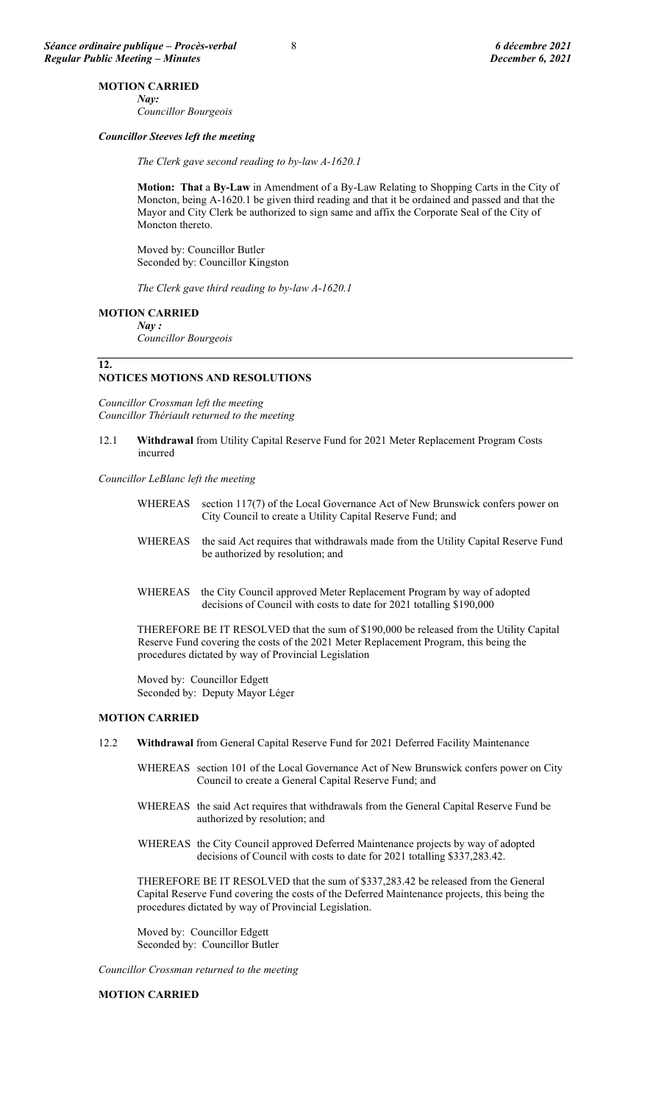## **MOTION CARRIED**

*Nay: Councillor Bourgeois*

### *Councillor Steeves left the meeting*

*The Clerk gave second reading to by-law A-1620.1*

**Motion: That** a **By-Law** in Amendment of a By-Law Relating to Shopping Carts in the City of Moncton, being A-1620.1 be given third reading and that it be ordained and passed and that the Mayor and City Clerk be authorized to sign same and affix the Corporate Seal of the City of Moncton thereto.

Moved by: Councillor Butler Seconded by: Councillor Kingston

*The Clerk gave third reading to by-law A-1620.1*

### **MOTION CARRIED**

*Nay :*

*Councillor Bourgeois*

#### **12.**

#### **NOTICES MOTIONS AND RESOLUTIONS**

*Councillor Crossman left the meeting Councillor Thériault returned to the meeting*

12.1 **Withdrawal** from Utility Capital Reserve Fund for 2021 Meter Replacement Program Costs incurred

*Councillor LeBlanc left the meeting*

| WHEREAS section 117(7) of the Local Governance Act of New Brunswick confers power on |
|--------------------------------------------------------------------------------------|
| City Council to create a Utility Capital Reserve Fund; and                           |

- WHEREAS the said Act requires that withdrawals made from the Utility Capital Reserve Fund be authorized by resolution; and
- WHEREAS the City Council approved Meter Replacement Program by way of adopted decisions of Council with costs to date for 2021 totalling \$190,000

THEREFORE BE IT RESOLVED that the sum of \$190,000 be released from the Utility Capital Reserve Fund covering the costs of the 2021 Meter Replacement Program, this being the procedures dictated by way of Provincial Legislation

Moved by: Councillor Edgett Seconded by: Deputy Mayor Léger

### **MOTION CARRIED**

- 12.2 **Withdrawal** from General Capital Reserve Fund for 2021 Deferred Facility Maintenance
	- WHEREAS section 101 of the Local Governance Act of New Brunswick confers power on City Council to create a General Capital Reserve Fund; and
	- WHEREAS the said Act requires that withdrawals from the General Capital Reserve Fund be authorized by resolution; and
	- WHEREAS the City Council approved Deferred Maintenance projects by way of adopted decisions of Council with costs to date for 2021 totalling \$337,283.42.

THEREFORE BE IT RESOLVED that the sum of \$337,283.42 be released from the General Capital Reserve Fund covering the costs of the Deferred Maintenance projects, this being the procedures dictated by way of Provincial Legislation.

Moved by: Councillor Edgett Seconded by: Councillor Butler

*Councillor Crossman returned to the meeting*

## **MOTION CARRIED**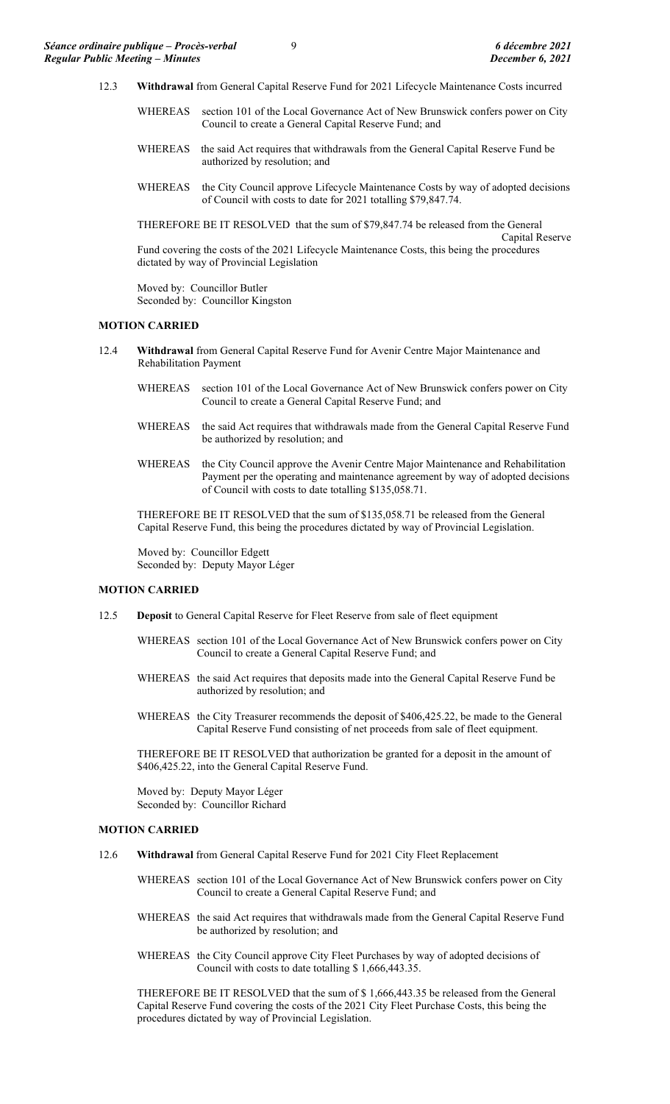- 12.3 **Withdrawal** from General Capital Reserve Fund for 2021 Lifecycle Maintenance Costs incurred
	- WHEREAS section 101 of the Local Governance Act of New Brunswick confers power on City Council to create a General Capital Reserve Fund; and
	- WHEREAS the said Act requires that withdrawals from the General Capital Reserve Fund be authorized by resolution; and
	- WHEREAS the City Council approve Lifecycle Maintenance Costs by way of adopted decisions of Council with costs to date for 2021 totalling \$79,847.74.

THEREFORE BE IT RESOLVED that the sum of \$79,847.74 be released from the General Capital Reserve Fund covering the costs of the 2021 Lifecycle Maintenance Costs, this being the procedures dictated by way of Provincial Legislation

Moved by: Councillor Butler Seconded by: Councillor Kingston

### **MOTION CARRIED**

- 12.4 **Withdrawal** from General Capital Reserve Fund for Avenir Centre Major Maintenance and Rehabilitation Payment
	- WHEREAS section 101 of the Local Governance Act of New Brunswick confers power on City Council to create a General Capital Reserve Fund; and
	- WHEREAS the said Act requires that withdrawals made from the General Capital Reserve Fund be authorized by resolution; and
	- WHEREAS the City Council approve the Avenir Centre Major Maintenance and Rehabilitation Payment per the operating and maintenance agreement by way of adopted decisions of Council with costs to date totalling \$135,058.71.

THEREFORE BE IT RESOLVED that the sum of \$135,058.71 be released from the General Capital Reserve Fund, this being the procedures dictated by way of Provincial Legislation.

Moved by: Councillor Edgett Seconded by: Deputy Mayor Léger

#### **MOTION CARRIED**

- 12.5 **Deposit** to General Capital Reserve for Fleet Reserve from sale of fleet equipment
	- WHEREAS section 101 of the Local Governance Act of New Brunswick confers power on City Council to create a General Capital Reserve Fund; and
	- WHEREAS the said Act requires that deposits made into the General Capital Reserve Fund be authorized by resolution; and
	- WHEREAS the City Treasurer recommends the deposit of \$406,425.22, be made to the General Capital Reserve Fund consisting of net proceeds from sale of fleet equipment.

THEREFORE BE IT RESOLVED that authorization be granted for a deposit in the amount of \$406,425.22, into the General Capital Reserve Fund.

Moved by: Deputy Mayor Léger Seconded by: Councillor Richard

### **MOTION CARRIED**

- 12.6 **Withdrawal** from General Capital Reserve Fund for 2021 City Fleet Replacement
	- WHEREAS section 101 of the Local Governance Act of New Brunswick confers power on City Council to create a General Capital Reserve Fund; and
	- WHEREAS the said Act requires that withdrawals made from the General Capital Reserve Fund be authorized by resolution; and
	- WHEREAS the City Council approve City Fleet Purchases by way of adopted decisions of Council with costs to date totalling \$ 1,666,443.35.

THEREFORE BE IT RESOLVED that the sum of \$ 1,666,443.35 be released from the General Capital Reserve Fund covering the costs of the 2021 City Fleet Purchase Costs, this being the procedures dictated by way of Provincial Legislation.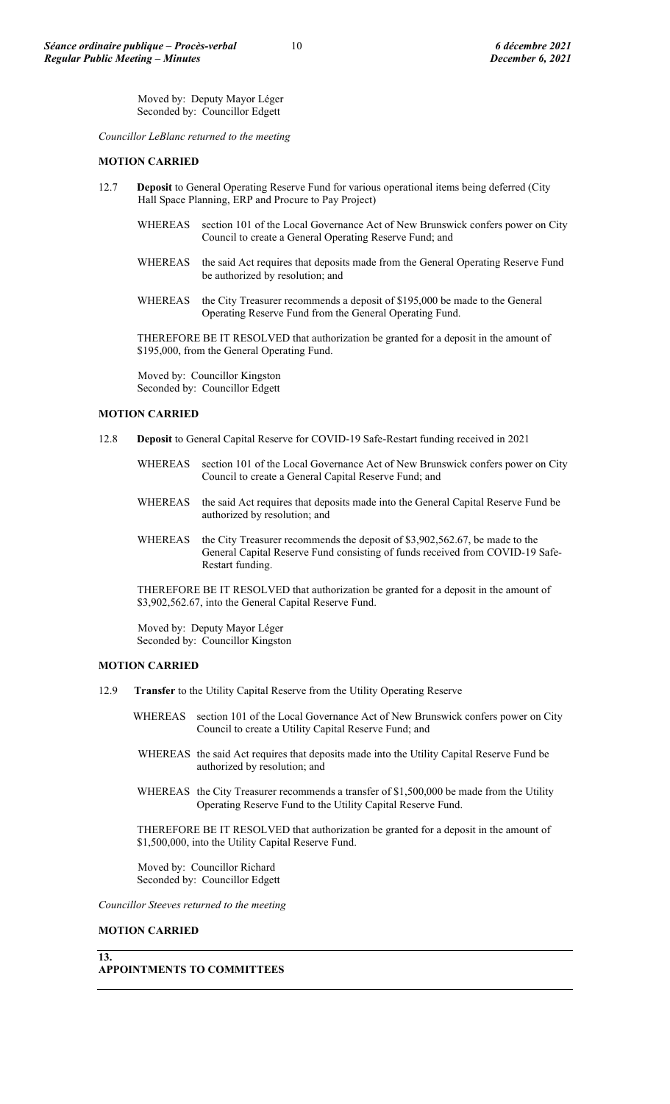Moved by: Deputy Mayor Léger Seconded by: Councillor Edgett

*Councillor LeBlanc returned to the meeting*

### **MOTION CARRIED**

- 12.7 **Deposit** to General Operating Reserve Fund for various operational items being deferred (City Hall Space Planning, ERP and Procure to Pay Project)
	- WHEREAS section 101 of the Local Governance Act of New Brunswick confers power on City Council to create a General Operating Reserve Fund; and
	- WHEREAS the said Act requires that deposits made from the General Operating Reserve Fund be authorized by resolution; and
	- WHEREAS the City Treasurer recommends a deposit of \$195,000 be made to the General Operating Reserve Fund from the General Operating Fund.

THEREFORE BE IT RESOLVED that authorization be granted for a deposit in the amount of \$195,000, from the General Operating Fund.

Moved by: Councillor Kingston Seconded by: Councillor Edgett

### **MOTION CARRIED**

- 12.8 **Deposit** to General Capital Reserve for COVID-19 Safe-Restart funding received in 2021
	- WHEREAS section 101 of the Local Governance Act of New Brunswick confers power on City Council to create a General Capital Reserve Fund; and
	- WHEREAS the said Act requires that deposits made into the General Capital Reserve Fund be authorized by resolution; and
	- WHEREAS the City Treasurer recommends the deposit of \$3,902,562.67, be made to the General Capital Reserve Fund consisting of funds received from COVID-19 Safe-Restart funding.

THEREFORE BE IT RESOLVED that authorization be granted for a deposit in the amount of \$3,902,562.67, into the General Capital Reserve Fund.

Moved by: Deputy Mayor Léger Seconded by: Councillor Kingston

### **MOTION CARRIED**

- 12.9 **Transfer** to the Utility Capital Reserve from the Utility Operating Reserve
	- WHEREAS section 101 of the Local Governance Act of New Brunswick confers power on City Council to create a Utility Capital Reserve Fund; and
	- WHEREAS the said Act requires that deposits made into the Utility Capital Reserve Fund be authorized by resolution; and
	- WHEREAS the City Treasurer recommends a transfer of \$1,500,000 be made from the Utility Operating Reserve Fund to the Utility Capital Reserve Fund.

THEREFORE BE IT RESOLVED that authorization be granted for a deposit in the amount of \$1,500,000, into the Utility Capital Reserve Fund.

Moved by: Councillor Richard Seconded by: Councillor Edgett

*Councillor Steeves returned to the meeting*

### **MOTION CARRIED**

**13.**

## **APPOINTMENTS TO COMMITTEES**